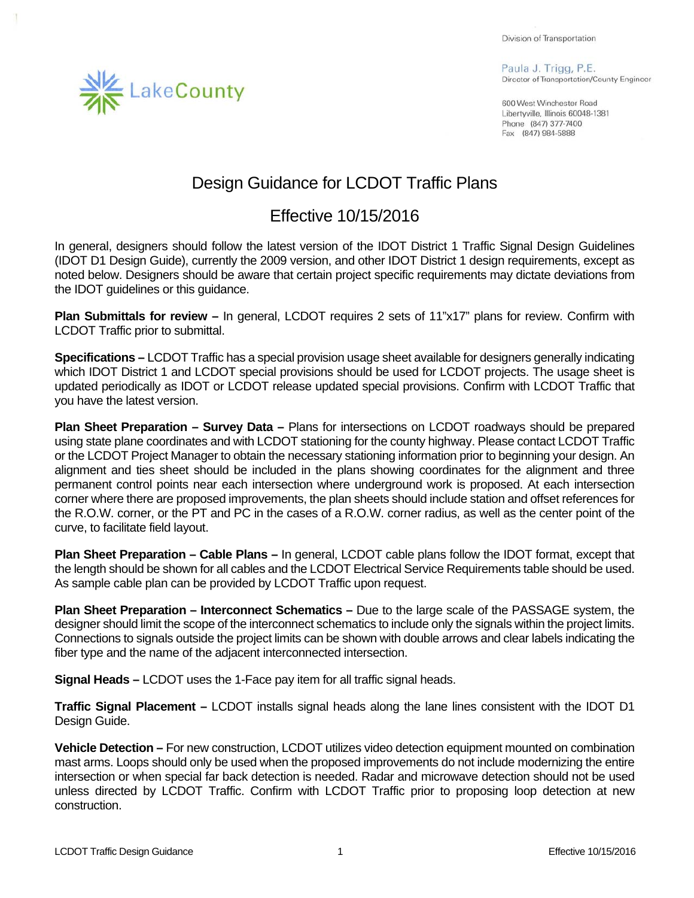Division of Transportation

Paula J. Trigg, P.E. Director of Transportation/County Engineer

600 West Winchester Road Libertyville, Illinois 60048-1381 Phone (847) 377-7400 Fax (847) 984-5888

## Design Guidance for LCDOT Traffic Plans

## Effective 10/15/2016

In general, designers should follow the latest version of the IDOT District 1 Traffic Signal Design Guidelines (IDOT D1 Design Guide), currently the 2009 version, and other IDOT District 1 design requirements, except as noted below. Designers should be aware that certain project specific requirements may dictate deviations from the IDOT guidelines or this guidance.

**Plan Submittals for review –** In general, LCDOT requires 2 sets of 11"x17" plans for review. Confirm with LCDOT Traffic prior to submittal.

**Specifications –** LCDOT Traffic has a special provision usage sheet available for designers generally indicating which IDOT District 1 and LCDOT special provisions should be used for LCDOT projects. The usage sheet is updated periodically as IDOT or LCDOT release updated special provisions. Confirm with LCDOT Traffic that you have the latest version.

**Plan Sheet Preparation – Survey Data –** Plans for intersections on LCDOT roadways should be prepared using state plane coordinates and with LCDOT stationing for the county highway. Please contact LCDOT Traffic or the LCDOT Project Manager to obtain the necessary stationing information prior to beginning your design. An alignment and ties sheet should be included in the plans showing coordinates for the alignment and three permanent control points near each intersection where underground work is proposed. At each intersection corner where there are proposed improvements, the plan sheets should include station and offset references for the R.O.W. corner, or the PT and PC in the cases of a R.O.W. corner radius, as well as the center point of the curve, to facilitate field layout.

**Plan Sheet Preparation – Cable Plans –** In general, LCDOT cable plans follow the IDOT format, except that the length should be shown for all cables and the LCDOT Electrical Service Requirements table should be used. As sample cable plan can be provided by LCDOT Traffic upon request.

**Plan Sheet Preparation – Interconnect Schematics –** Due to the large scale of the PASSAGE system, the designer should limit the scope of the interconnect schematics to include only the signals within the project limits. Connections to signals outside the project limits can be shown with double arrows and clear labels indicating the fiber type and the name of the adjacent interconnected intersection.

**Signal Heads –** LCDOT uses the 1-Face pay item for all traffic signal heads.

**Traffic Signal Placement –** LCDOT installs signal heads along the lane lines consistent with the IDOT D1 Design Guide.

**Vehicle Detection –** For new construction, LCDOT utilizes video detection equipment mounted on combination mast arms. Loops should only be used when the proposed improvements do not include modernizing the entire intersection or when special far back detection is needed. Radar and microwave detection should not be used unless directed by LCDOT Traffic. Confirm with LCDOT Traffic prior to proposing loop detection at new construction.

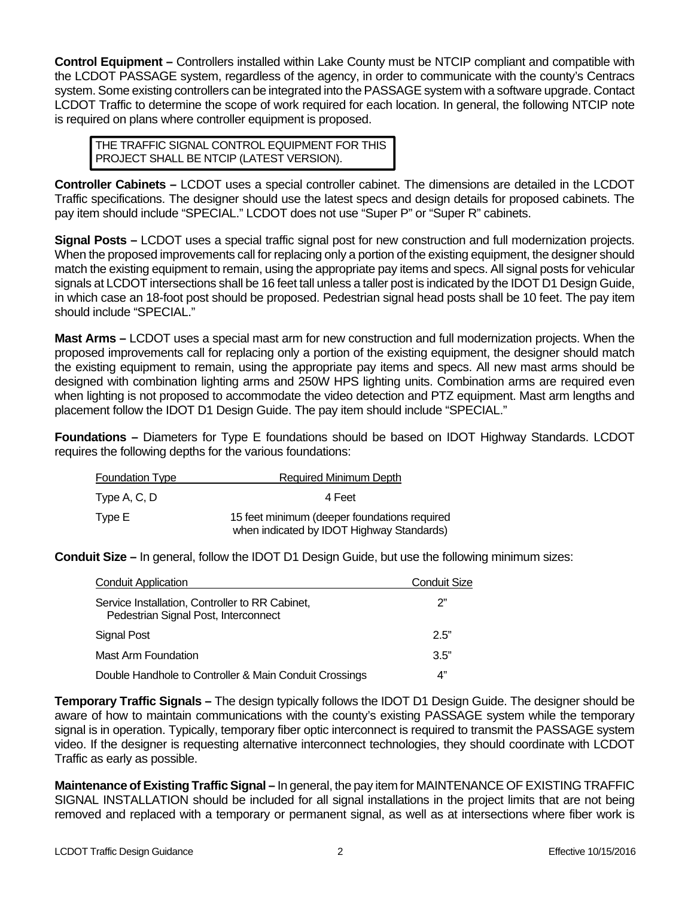**Control Equipment –** Controllers installed within Lake County must be NTCIP compliant and compatible with the LCDOT PASSAGE system, regardless of the agency, in order to communicate with the county's Centracs system. Some existing controllers can be integrated into the PASSAGE system with a software upgrade. Contact LCDOT Traffic to determine the scope of work required for each location. In general, the following NTCIP note is required on plans where controller equipment is proposed.

THE TRAFFIC SIGNAL CONTROL EQUIPMENT FOR THIS PROJECT SHALL BE NTCIP (LATEST VERSION).

**Controller Cabinets –** LCDOT uses a special controller cabinet. The dimensions are detailed in the LCDOT Traffic specifications. The designer should use the latest specs and design details for proposed cabinets. The pay item should include "SPECIAL." LCDOT does not use "Super P" or "Super R" cabinets.

**Signal Posts –** LCDOT uses a special traffic signal post for new construction and full modernization projects. When the proposed improvements call for replacing only a portion of the existing equipment, the designer should match the existing equipment to remain, using the appropriate pay items and specs. All signal posts for vehicular signals at LCDOT intersections shall be 16 feet tall unless a taller post is indicated by the IDOT D1 Design Guide, in which case an 18-foot post should be proposed. Pedestrian signal head posts shall be 10 feet. The pay item should include "SPECIAL."

**Mast Arms –** LCDOT uses a special mast arm for new construction and full modernization projects. When the proposed improvements call for replacing only a portion of the existing equipment, the designer should match the existing equipment to remain, using the appropriate pay items and specs. All new mast arms should be designed with combination lighting arms and 250W HPS lighting units. Combination arms are required even when lighting is not proposed to accommodate the video detection and PTZ equipment. Mast arm lengths and placement follow the IDOT D1 Design Guide. The pay item should include "SPECIAL."

**Foundations –** Diameters for Type E foundations should be based on IDOT Highway Standards. LCDOT requires the following depths for the various foundations:

| <b>Foundation Type</b> | Required Minimum Depth                                                                    |
|------------------------|-------------------------------------------------------------------------------------------|
| Type A, C, D           | 4 Feet                                                                                    |
| Type E                 | 15 feet minimum (deeper foundations required<br>when indicated by IDOT Highway Standards) |

**Conduit Size –** In general, follow the IDOT D1 Design Guide, but use the following minimum sizes:

| <b>Conduit Application</b>                                                              | <b>Conduit Size</b> |
|-----------------------------------------------------------------------------------------|---------------------|
| Service Installation, Controller to RR Cabinet,<br>Pedestrian Signal Post, Interconnect | ን"                  |
| Signal Post                                                                             | 2.5"                |
| Mast Arm Foundation                                                                     | 3.5"                |
| Double Handhole to Controller & Main Conduit Crossings                                  | 4"                  |

**Temporary Traffic Signals –** The design typically follows the IDOT D1 Design Guide. The designer should be aware of how to maintain communications with the county's existing PASSAGE system while the temporary signal is in operation. Typically, temporary fiber optic interconnect is required to transmit the PASSAGE system video. If the designer is requesting alternative interconnect technologies, they should coordinate with LCDOT Traffic as early as possible.

**Maintenance of Existing Traffic Signal –** In general, the pay item for MAINTENANCE OF EXISTING TRAFFIC SIGNAL INSTALLATION should be included for all signal installations in the project limits that are not being removed and replaced with a temporary or permanent signal, as well as at intersections where fiber work is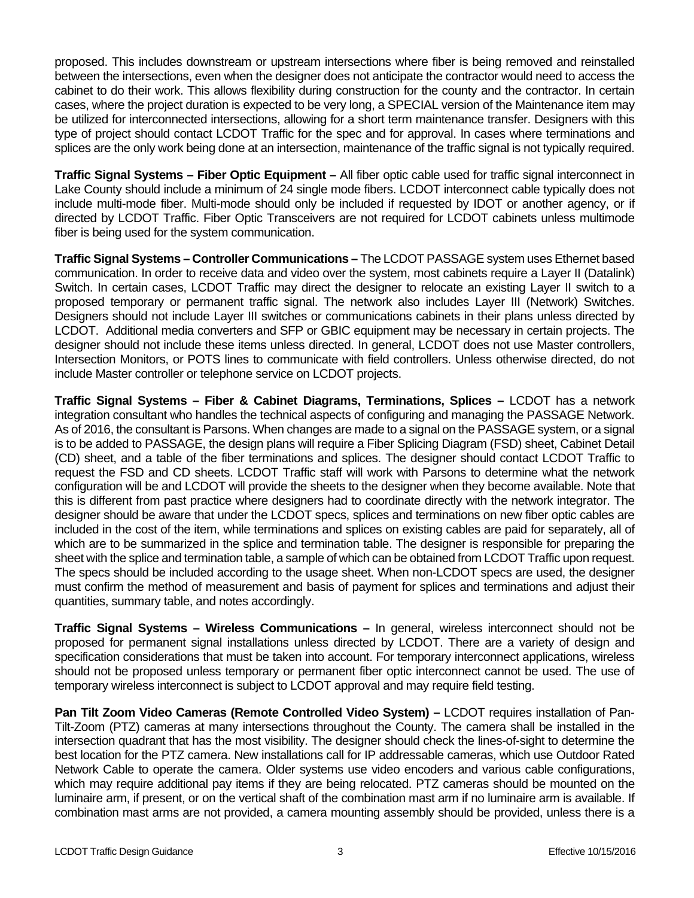proposed. This includes downstream or upstream intersections where fiber is being removed and reinstalled between the intersections, even when the designer does not anticipate the contractor would need to access the cabinet to do their work. This allows flexibility during construction for the county and the contractor. In certain cases, where the project duration is expected to be very long, a SPECIAL version of the Maintenance item may be utilized for interconnected intersections, allowing for a short term maintenance transfer. Designers with this type of project should contact LCDOT Traffic for the spec and for approval. In cases where terminations and splices are the only work being done at an intersection, maintenance of the traffic signal is not typically required.

**Traffic Signal Systems – Fiber Optic Equipment –** All fiber optic cable used for traffic signal interconnect in Lake County should include a minimum of 24 single mode fibers. LCDOT interconnect cable typically does not include multi-mode fiber. Multi-mode should only be included if requested by IDOT or another agency, or if directed by LCDOT Traffic. Fiber Optic Transceivers are not required for LCDOT cabinets unless multimode fiber is being used for the system communication.

**Traffic Signal Systems – Controller Communications –** The LCDOT PASSAGE system uses Ethernet based communication. In order to receive data and video over the system, most cabinets require a Layer II (Datalink) Switch. In certain cases, LCDOT Traffic may direct the designer to relocate an existing Layer II switch to a proposed temporary or permanent traffic signal. The network also includes Layer III (Network) Switches. Designers should not include Layer III switches or communications cabinets in their plans unless directed by LCDOT. Additional media converters and SFP or GBIC equipment may be necessary in certain projects. The designer should not include these items unless directed. In general, LCDOT does not use Master controllers, Intersection Monitors, or POTS lines to communicate with field controllers. Unless otherwise directed, do not include Master controller or telephone service on LCDOT projects.

**Traffic Signal Systems – Fiber & Cabinet Diagrams, Terminations, Splices –** LCDOT has a network integration consultant who handles the technical aspects of configuring and managing the PASSAGE Network. As of 2016, the consultant is Parsons. When changes are made to a signal on the PASSAGE system, or a signal is to be added to PASSAGE, the design plans will require a Fiber Splicing Diagram (FSD) sheet, Cabinet Detail (CD) sheet, and a table of the fiber terminations and splices. The designer should contact LCDOT Traffic to request the FSD and CD sheets. LCDOT Traffic staff will work with Parsons to determine what the network configuration will be and LCDOT will provide the sheets to the designer when they become available. Note that this is different from past practice where designers had to coordinate directly with the network integrator. The designer should be aware that under the LCDOT specs, splices and terminations on new fiber optic cables are included in the cost of the item, while terminations and splices on existing cables are paid for separately, all of which are to be summarized in the splice and termination table. The designer is responsible for preparing the sheet with the splice and termination table, a sample of which can be obtained from LCDOT Traffic upon request. The specs should be included according to the usage sheet. When non-LCDOT specs are used, the designer must confirm the method of measurement and basis of payment for splices and terminations and adjust their quantities, summary table, and notes accordingly.

**Traffic Signal Systems – Wireless Communications –** In general, wireless interconnect should not be proposed for permanent signal installations unless directed by LCDOT. There are a variety of design and specification considerations that must be taken into account. For temporary interconnect applications, wireless should not be proposed unless temporary or permanent fiber optic interconnect cannot be used. The use of temporary wireless interconnect is subject to LCDOT approval and may require field testing.

**Pan Tilt Zoom Video Cameras (Remote Controlled Video System) –** LCDOT requires installation of Pan-Tilt-Zoom (PTZ) cameras at many intersections throughout the County. The camera shall be installed in the intersection quadrant that has the most visibility. The designer should check the lines-of-sight to determine the best location for the PTZ camera. New installations call for IP addressable cameras, which use Outdoor Rated Network Cable to operate the camera. Older systems use video encoders and various cable configurations, which may require additional pay items if they are being relocated. PTZ cameras should be mounted on the luminaire arm, if present, or on the vertical shaft of the combination mast arm if no luminaire arm is available. If combination mast arms are not provided, a camera mounting assembly should be provided, unless there is a